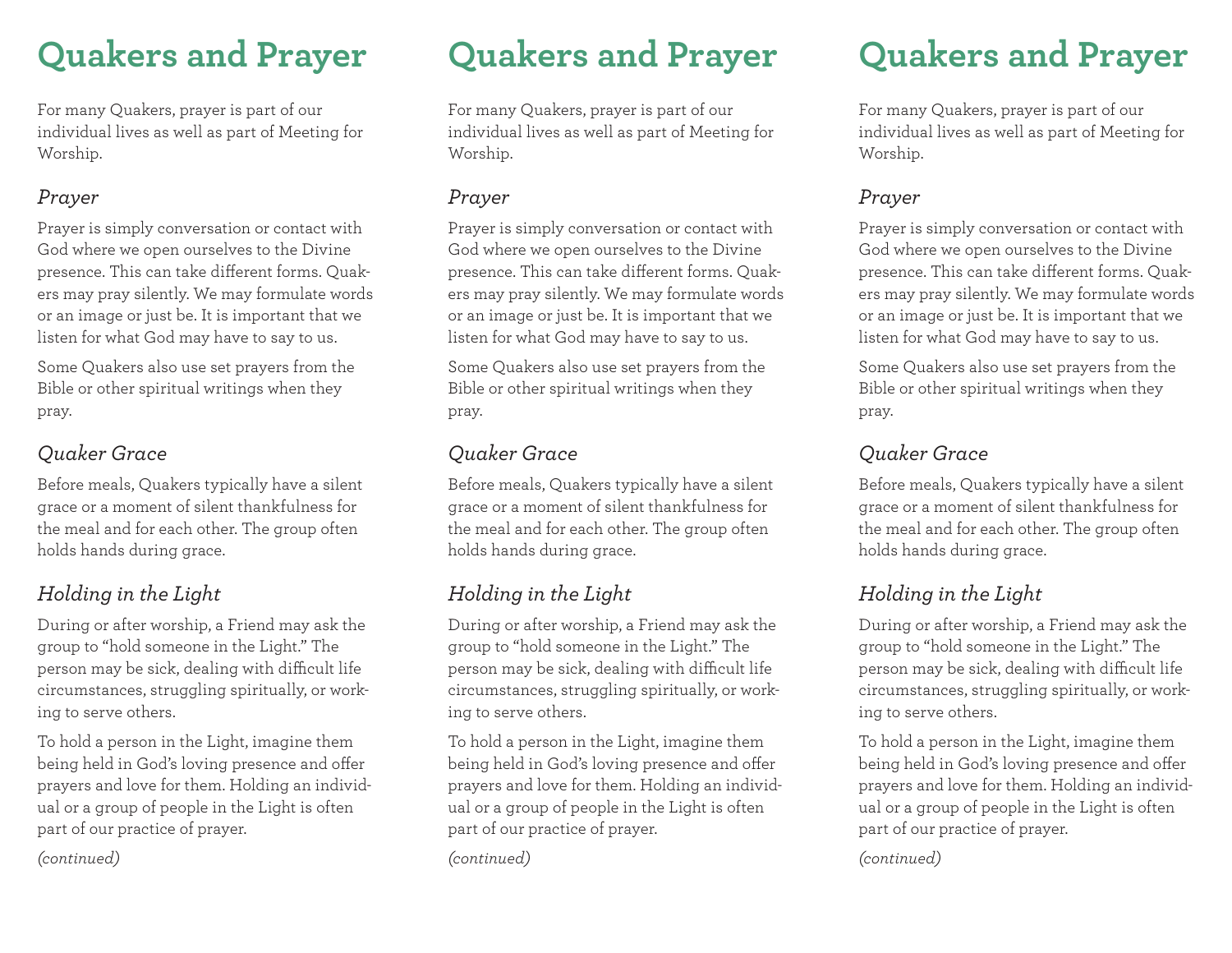# **Quakers and Prayer**

For many Quakers, prayer is part of our individual lives as well as part of Meeting for Worship.

### *Prayer*

Prayer is simply conversation or contact with God where we open ourselves to the Divine presence. This can take different forms. Quakers may pray silently. We may formulate words or an image or just be. It is important that we listen for what God may have to say to us.

Some Quakers also use set prayers from the Bible or other spiritual writings when they pray.

## *Quaker Grace*

Before meals, Quakers typically have a silent grace or a moment of silent thankfulness for the meal and for each other. The group often holds hands during grace.

# *Holding in the Light*

During or after worship, a Friend may ask the group to "hold someone in the Light." The person may be sick, dealing with difficult life circumstances, struggling spiritually, or working to serve others.

To hold a person in the Light, imagine them being held in God's loving presence and offer prayers and love for them. Holding an individual or a group of people in the Light is often part of our practice of prayer.

*(continued)*

# **Quakers and Prayer**

For many Quakers, prayer is part of our individual lives as well as part of Meeting for Worship.

### *Prayer*

Prayer is simply conversation or contact with God where we open ourselves to the Divine presence. This can take different forms. Quakers may pray silently. We may formulate words or an image or just be. It is important that we listen for what God may have to say to us.

Some Quakers also use set prayers from the Bible or other spiritual writings when they pray.

### *Quaker Grace*

Before meals, Quakers typically have a silent grace or a moment of silent thankfulness for the meal and for each other. The group often holds hands during grace.

# *Holding in the Light*

During or after worship, a Friend may ask the group to "hold someone in the Light." The person may be sick, dealing with difficult life circumstances, struggling spiritually, or working to serve others.

To hold a person in the Light, imagine them being held in God's loving presence and offer prayers and love for them. Holding an individual or a group of people in the Light is often part of our practice of prayer.

*(continued)*

# **Quakers and Prayer**

For many Quakers, prayer is part of our individual lives as well as part of Meeting for Worship.

### *Prayer*

Prayer is simply conversation or contact with God where we open ourselves to the Divine presence. This can take different forms. Quakers may pray silently. We may formulate words or an image or just be. It is important that we listen for what God may have to say to us.

Some Quakers also use set prayers from the Bible or other spiritual writings when they pray.

## *Quaker Grace*

Before meals, Quakers typically have a silent grace or a moment of silent thankfulness for the meal and for each other. The group often holds hands during grace.

## *Holding in the Light*

During or after worship, a Friend may ask the group to "hold someone in the Light." The person may be sick, dealing with difficult life circumstances, struggling spiritually, or working to serve others.

To hold a person in the Light, imagine them being held in God's loving presence and offer prayers and love for them. Holding an individual or a group of people in the Light is often part of our practice of prayer.

#### *(continued)*